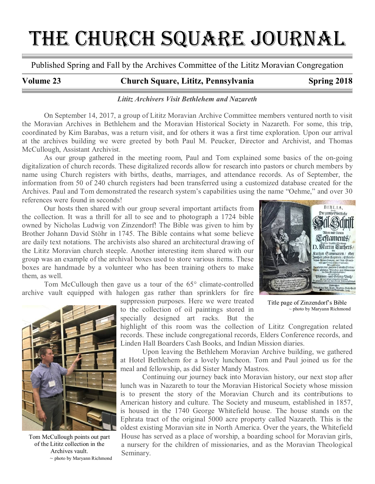# THE CHURCH SQUARE JOURNAL

Published Spring and Fall by the Archives Committee of the Lititz Moravian Congregation

# Volume 23 Church Square, Lititz, Pennsylvania Spring 2018

# Lititz Archivers Visit Bethlehem and Nazareth

On September 14, 2017, a group of Lititz Moravian Archive Committee members ventured north to visit the Moravian Archives in Bethlehem and the Moravian Historical Society in Nazareth. For some, this trip, coordinated by Kim Barabas, was a return visit, and for others it was a first time exploration. Upon our arrival at the archives building we were greeted by both Paul M. Peucker, Director and Archivist, and Thomas McCullough, Assistant Archivist.

As our group gathered in the meeting room, Paul and Tom explained some basics of the on-going digitalization of church records. These digitalized records allow for research into pastors or church members by name using Church registers with births, deaths, marriages, and attendance records. As of September, the information from 50 of 240 church registers had been transferred using a customized database created for the Archives. Paul and Tom demonstrated the research system's capabilities using the name "Oehme," and over 30 references were found in seconds!

Our hosts then shared with our group several important artifacts from the collection. It was a thrill for all to see and to photograph a 1724 bible owned by Nicholas Ludwig von Zinzendorf! The Bible was given to him by Brother Johann David Stöhr in 1745. The Bible contains what some believe are daily text notations. The archivists also shared an architectural drawing of the Lititz Moravian church steeple. Another interesting item shared with our group was an example of the archival boxes used to store various items. These boxes are handmade by a volunteer who has been training others to make them, as well.

Tom McCullough then gave us a tour of the 65° climate-controlled archive vault equipped with halogen gas rather than sprinklers for fire



Tom McCullough points out part of the Lititz collection in the Archives vault.  $\sim$  photo by Maryann Richmond

suppression purposes. Here we were treated to the collection of oil paintings stored in specially designed art racks. But the

highlight of this room was the collection of Lititz Congregation related records. These include congregational records, Elders Conference records, and Linden Hall Boarders Cash Books, and Indian Mission diaries.

Upon leaving the Bethlehem Moravian Archive building, we gathered at Hotel Bethlehem for a lovely luncheon. Tom and Paul joined us for the meal and fellowship, as did Sister Mandy Mastros.

Continuing our journey back into Moravian history, our next stop after lunch was in Nazareth to tour the Moravian Historical Society whose mission is to present the story of the Moravian Church and its contributions to American history and culture. The Society and museum, established in 1857, is housed in the 1740 George Whitefield house. The house stands on the Ephrata tract of the original 5000 acre property called Nazareth. This is the oldest existing Moravian site in North America. Over the years, the Whitefield House has served as a place of worship, a boarding school for Moravian girls, a nursery for the children of missionaries, and as the Moravian Theological Seminary.



Title page of Zinzendorf's Bible ~ photo by Maryann Richmond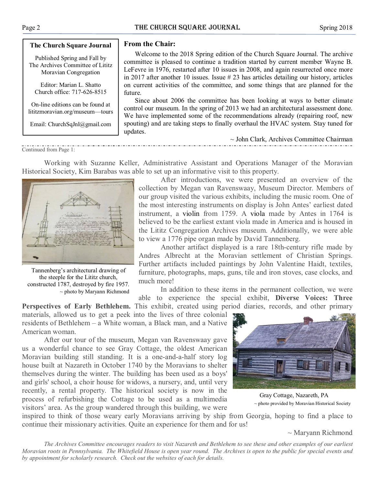#### The Church Square Journal

Published Spring and Fall by The Archives Committee of Lititz Moravian Congregation

Editor: Marian L. Shatto Church office: 717-626-8515

On-line editions can be found at lititzmoravian.org/museum—tours

Email: ChurchSqJnl@gmail.com

## From the Chair:

Welcome to the 2018 Spring edition of the Church Square Journal. The archive committee is pleased to continue a tradition started by current member Wayne B. LeFevre in 1976, restarted after 10 issues in 2008, and again resurrected once more in 2017 after another 10 issues. Issue # 23 has articles detailing our history, articles on current activities of the committee, and some things that are planned for the future.

Since about 2006 the committee has been looking at ways to better climate control our museum. In the spring of 2013 we had an architectural assessment done. We have implemented some of the recommendations already (repairing roof, new spouting) and are taking steps to finally overhaul the HVAC system. Stay tuned for updates.

Continued from Page 1:

Working with Suzanne Keller, Administrative Assistant and Operations Manager of the Moravian Historical Society, Kim Barabas was able to set up an informative visit to this property.



~ photo by Maryann Richmond

After introductions, we were presented an overview of the collection by Megan van Ravenswaay, Museum Director. Members of our group visited the various exhibits, including the music room. One of the most interesting instruments on display is John Antes' earliest dated instrument, a violin from 1759. A viola made by Antes in 1764 is believed to be the earliest extant viola made in America and is housed in the Lititz Congregation Archives museum. Additionally, we were able to view a 1776 pipe organ made by David Tannenberg.

Another artifact displayed is a rare 18th-century rifle made by Andres Albrecht at the Moravian settlement of Christian Springs. Further artifacts included paintings by John Valentine Haidt, textiles, furniture, photographs, maps, guns, tile and iron stoves, case clocks, and much more!

In addition to these items in the permanent collection, we were able to experience the special exhibit, Diverse Voices: Three

Perspectives of Early Bethlehem. This exhibit, created using period diaries, records, and other primary materials, allowed us to get a peek into the lives of three colonial residents of Bethlehem – a White woman, a Black man, and a Native American woman.

After our tour of the museum, Megan van Ravenswaay gave us a wonderful chance to see Gray Cottage, the oldest American Moravian building still standing. It is a one-and-a-half story log house built at Nazareth in October 1740 by the Moravians to shelter themselves during the winter. The building has been used as a boys' and girls' school, a choir house for widows, a nursery, and, until very recently, a rental property. The historical society is now in the process of refurbishing the Cottage to be used as a multimedia visitors' area. As the group wandered through this building, we were



~ John Clark, Archives Committee Chairman

Gray Cottage, Nazareth, PA ~ photo provided by Moravian Historical Society

inspired to think of those weary early Moravians arriving by ship from Georgia, hoping to find a place to continue their missionary activities. Quite an experience for them and for us!

 $\sim$  Maryann Richmond

The Archives Committee encourages readers to visit Nazareth and Bethlehem to see these and other examples of our earliest Moravian roots in Pennsylvania. The Whitefield House is open year round. The Archives is open to the public for special events and by appointment for scholarly research. Check out the websites of each for details.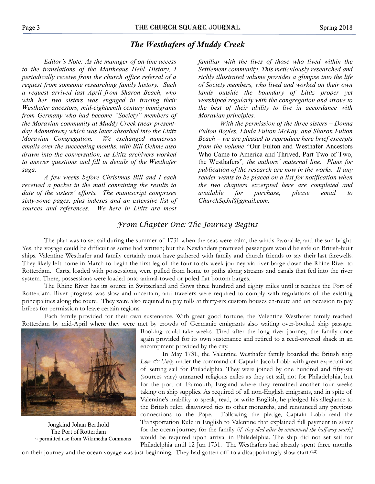# The Westhafers of Muddy Creek

Editor's Note: As the manager of on-line access to the translations of the Mattheaus Hehl History, I periodically receive from the church office referral of a request from someone researching family history. Such a request arrived last April from Sharon Beach, who with her two sisters was engaged in tracing their Westhafer ancestors, mid-eighteenth century immigrants from Germany who had become "Society" members of the Moravian community at Muddy Creek (near presentday Adamstown) which was later absorbed into the Lititz Moravian Congregation. We exchanged numerous emails over the succeeding months, with Bill Oehme also drawn into the conversation, as Lititz archivers worked to answer questions and fill in details of the Westhafer saga.

A few weeks before Christmas Bill and I each received a packet in the mail containing the results to date of the sisters' efforts. The manuscript comprises sixty-some pages, plus indexes and an extensive list of sources and references. We here in Lititz are most

familiar with the lives of those who lived within the Settlement community. This meticulously researched and richly illustrated volume provides a glimpse into the life of Society members, who lived and worked on their own lands outside the boundary of Lititz proper yet worshiped regularly with the congregation and strove to the best of their ability to live in accordance with Moravian principles.

With the permission of the three sisters – Donna Fulton Boyles, Linda Fulton McKay, and Sharon Fulton Beach – we are pleased to reproduce here brief excerpts from the volume "Our Fulton and Westhafer Ancestors Who Came to America and Thrived, Part Two of Two, the Westhafers", the authors' maternal line. Plans for publication of the research are now in the works. If any reader wants to be placed on a list for notification when the two chapters excerpted here are completed and available for purchase, please email to ChurchSqJnl@gmail.com.

# From Chapter One: The Journey Begins

The plan was to set sail during the summer of 1731 when the seas were calm, the winds favorable, and the sun bright. Yes, the voyage could be difficult as some had written; but the Newlanders promised passengers would be safe on British-built ships. Valentine Westhafer and family certainly must have gathered with family and church friends to say their last farewells. They likely left home in March to begin the first leg of the four to six week journey via river barge down the Rhine River to Rotterdam. Carts, loaded with possessions, were pulled from home to paths along streams and canals that fed into the river system. There, possessions were loaded onto animal-towed or poled flat bottom barges.

The Rhine River has its source in Switzerland and flows three hundred and eighty miles until it reaches the Port of Rotterdam. River progress was slow and uncertain, and travelers were required to comply with regulations of the existing principalities along the route. They were also required to pay tolls at thirty-six custom houses en-route and on occasion to pay bribes for permission to leave certain regions.

Each family provided for their own sustenance. With great good fortune, the Valentine Westhafer family reached Rotterdam by mid-April where they were met by crowds of Germanic emigrants also waiting over-booked ship passage.



Jongkind Johan Berthold The Port of Rotterdam  $\sim$  permitted use from Wikimedia Commons

Booking could take weeks. Tired after the long river journey, the family once again provided for its own sustenance and retired to a reed-covered shack in an encampment provided by the city.

In May 1731, the Valentine Westhafer family boarded the British ship Love  $\mathcal{Q}$  Unity under the command of Captain Jacob Lobb with great expectations of setting sail for Philadelphia. They were joined by one hundred and fifty-six (sources vary) unnamed religious exiles as they set sail, not for Philadelphia, but for the port of Falmouth, England where they remained another four weeks taking on ship supplies. As required of all non-English emigrants, and in spite of Valentine's inability to speak, read, or write English, he pledged his allegiance to the British ruler, disavowed ties to other monarchs, and renounced any previous connections to the Pope. Following the pledge, Captain Lobb read the Transportation Rule in English to Valentine that explained full payment in silver for the ocean journey for the family  $[if they died after be announced the half-way mark]$ would be required upon arrival in Philadelphia. The ship did not set sail for Philadelphia until 12 Jun 1731. The Westhafers had already spent three months

on their journey and the ocean voyage was just beginning. They had gotten off to a disappointingly slow start.(1,2)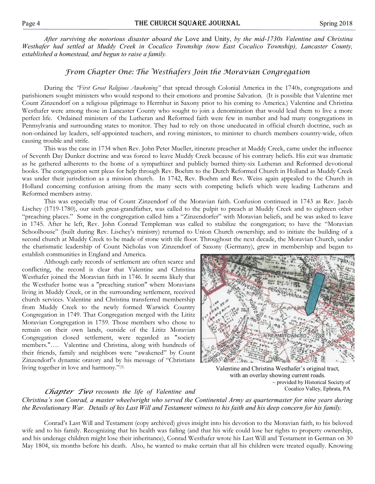After surviving the notorious disaster aboard the Love and Unity, by the mid-1730s Valentine and Christina Westhafer had settled at Muddy Creek in Cocalico Township (now East Cocalico Township), Lancaster County, established a homestead, and begun to raise a family.

# From Chapter One: The Westhafers Join the Moravian Congregation

During the 'First Great Religious Awakening" that spread through Colonial America in the 1740s, congregations and parishioners sought ministers who would respond to their emotions and promise Salvation. (It is possible that Valentine met Count Zinzendorf on a religious pilgrimage to Herrnhut in Saxony prior to his coming to America.) Valentine and Christina Westhafer were among those in Lancaster County who sought to join a denomination that would lead them to live a more perfect life. Ordained ministers of the Lutheran and Reformed faith were few in number and had many congregations in Pennsylvania and surrounding states to monitor. They had to rely on those uneducated in official church doctrine, such as non-ordained lay leaders, self-appointed teachers, and roving ministers, to minister to church members country-wide, often causing trouble and strife.

This was the case in 1734 when Rev. John Peter Mueller, itinerate preacher at Muddy Creek, came under the influence of Seventh Day Dunker doctrine and was forced to leave Muddy Creek because of his contrary beliefs. His exit was dramatic as he gathered adherents to the home of a sympathizer and publicly burned thirty-six Lutheran and Reformed devotional books. The congregation sent pleas for help through Rev. Boehm to the Dutch Reformed Church in Holland as Muddy Creek was under their jurisdiction as a mission church. In 1742, Rev. Boehm and Rev. Weiss again appealed to the Church in Holland concerning confusion arising from the many sects with competing beliefs which were leading Lutherans and Reformed members astray.

This was especially true of Count Zinzendorf of the Moravian faith. Confusion continued in 1743 as Rev. Jacob Lischey (1719-1780), our sixth great-grandfather, was called to the pulpit to preach at Muddy Creek and to eighteen other "preaching places." Some in the congregation called him a "Zinzendorfer" with Moravian beliefs, and he was asked to leave in 1745. After he left, Rev. John Conrad Templeman was called to stabilize the congregation; to have the "Moravian Schoolhouse" (built during Rev. Lischey's ministry) returned to Union Church ownership; and to initiate the building of a second church at Muddy Creek to be made of stone with tile floor. Throughout the next decade, the Moravian Church, under the charismatic leadership of Count Nicholas von Zinzendorf of Saxony (Germany), grew in membership and began to establish communities in England and America.

Although early records of settlement are often scarce and conflicting, the record is clear that Valentine and Christina Westhafer joined the Moravian faith in 1746. It seems likely that the Westhafer home was a "preaching station" where Moravians living in Muddy Creek, or in the surrounding settlement, received church services. Valentine and Christina transferred membership from Muddy Creek to the newly formed Warwick Country Congregation in 1749. That Congregation merged with the Lititz Moravian Congregation in 1759. Those members who chose to remain on their own lands, outside of the Lititz Moravian Congregation closed settlement, were regarded as "society members."…. Valentine and Christina, along with hundreds of their friends, family and neighbors were "awakened" by Count Zinzendorf's dynamic oratory and by his message of "Christians living together in love and harmony."(3)



Valentine and Christina Westhafer's original tract, with an overlay showing current roads. ~ provided by Historical Society of Cocalico Valley, Ephrata, PA

# **Chapter Two** recounts the life of Valentine and

Christina's son Conrad, a master wheelwright who served the Continental Army as quartermaster for nine years during the Revolutionary War. Details of his Last Will and Testament witness to his faith and his deep concern for his family.

Conrad's Last Will and Testament (copy archived) gives insight into his devotion to the Moravian faith, to his beloved wife and to his family. Recognizing that his health was failing (and that his wife could lose her rights to property ownership, and his underage children might lose their inheritance), Conrad Westhafer wrote his Last Will and Testament in German on 30 May 1804, six months before his death. Also, he wanted to make certain that all his children were treated equally. Knowing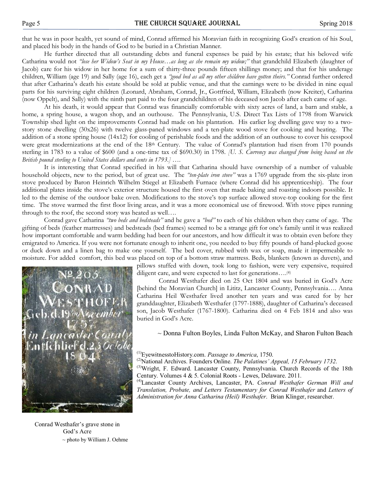that he was in poor health, yet sound of mind, Conrad affirmed his Moravian faith in recognizing God's creation of his Soul, and placed his body in the hands of God to be buried in a Christian Manner.

He further directed that all outstanding debts and funeral expenses be paid by his estate; that his beloved wife Catharina would not "lose her Widow's Seat in my House...as long as she remain my widow;" that grandchild Elizabeth (daughter of Jacob) care for his widow in her home for a sum of thirty-three pounds fifteen shillings money; and that for his underage children, William (age 19) and Sally (age 16), each get a "good bed as all my other children have gotten theirs." Conrad further ordered that after Catharina's death his estate should be sold at public venue, and that the earnings were to be divided in nine equal parts for his surviving eight children (Leonard, Abraham, Conrad, Jr., Gottfried, William, Elizabeth (now Kreiter), Catharina (now Oppelt), and Sally) with the ninth part paid to the four grandchildren of his deceased son Jacob after each came of age.

At his death, it would appear that Conrad was financially comfortable with sixty acres of land, a barn and stable, a home, a spring house, a wagon shop, and an outhouse. The Pennsylvania, U.S. Direct Tax Lists of 1798 from Warwick Township shed light on the improvements Conrad had made on his plantation. His earlier log dwelling gave way to a twostory stone dwelling (30x26) with twelve glass-paned windows and a ten-plate wood stove for cooking and heating. The addition of a stone spring house (14x12) for cooling of perishable foods and the addition of an outhouse to cover his cesspool were great modernizations at the end of the 18<sup>th</sup> Century. The value of Conrad's plantation had risen from 170 pounds sterling in 1783 to a value of \$600 (and a one-time tax of \$690.30) in 1798. *(U. S. Currency was changed from being based on the* British pound sterling to United States dollars and cents in 1793.] ….

It is interesting that Conrad specified in his will that Catharina should have ownership of a number of valuable household objects, new to the period, but of great use. The "ten-plate iron stove" was a 1769 upgrade from the six-plate iron stove produced by Baron Heinrich Wilhelm Stiegel at Elizabeth Furnace (where Conrad did his apprenticeship). The four additional plates inside the stove's exterior structure housed the first oven that made baking and roasting indoors possible. It led to the demise of the outdoor bake oven. Modifications to the stove's top surface allowed stove-top cooking for the first time. The stove warmed the first floor living areas, and it was a more economical use of firewood. With stove pipes running through to the roof, the second story was heated as well….

Conrad gave Catharina "two beds and bedsteads" and he gave a "bed" to each of his children when they came of age. The gifting of beds (feather mattresses) and bedsteads (bed frames) seemed to be a strange gift for one's family until it was realized how important comfortable and warm bedding had been for our ancestors, and how difficult it was to obtain even before they emigrated to America. If you were not fortunate enough to inherit one, you needed to buy fifty pounds of hand-plucked goose or duck down and a linen bag to make one yourself. The bed cover, rubbed with wax or soap, made it impermeable to moisture. For added comfort, this bed was placed on top of a bottom straw mattress. Beds, blankets (known as duvets), and



Conrad Westhafer's grave stone in God's Acre ~ photo by William J. Oehme pillows stuffed with down, took long to fashion, were very expensive, required diligent care, and were expected to last for generations....<sup>(4)</sup>

Conrad Westhafer died on 25 Oct 1804 and was buried in God's Acre [behind the Moravian Church] in Lititz, Lancaster County, Pennsylvania…. Anna Catharina Heil Westhafer lived another ten years and was cared for by her granddaughter, Elizabeth Westhafer (1797-1888), daughter of Catharina's deceased son, Jacob Westhafer (1767-1800). Catharina died on 4 Feb 1814 and also was buried in God's Acre.

~ Donna Fulton Boyles, Linda Fulton McKay, and Sharon Fulton Beach

<sup>(1)</sup>EyewitnesstoHistory.com. *Passage to America*, 1750.<br><sup>(2)</sup>National Archives, Foundary Opline, *The Paletines*,

- <sup>(2)</sup>National Archives. Founders Online. The Palatines' Appeal, 15 February 1732.
- <sup>(3)</sup>Wright, F. Edward. Lancaster County, Pennsylvania. Church Records of the 18th Century. Volumes 4 & 5. Colonial Roots - Lewes, Delaware. 2011.

<sup>(4)</sup>Lancaster County Archives, Lancaster, PA. Conrad Westhafer German Will and Translation, Probate, and Letters Testamentary for Conrad Westhafer and Letters of Administration for Anna Catharina (Heil) Westhafer. Brian Klinger, researcher.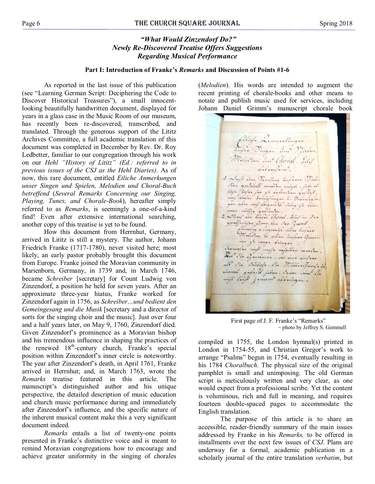# "What Would Zinzendorf Do?" Newly Re-Discovered Treatise Offers Suggestions Regarding Musical Performance

#### Part I: Introduction of Franke's Remarks and Discussion of Points #1-6

As reported in the last issue of this publication (see "Learning German Script: Deciphering the Code to Discover Historical Treasures"), a small innocentlooking beautifully handwritten document, displayed for years in a glass case in the Music Room of our museum, has recently been re-discovered, transcribed, and translated. Through the generous support of the Lititz Archives Committee, a full academic translation of this document was completed in December by Rev. Dr. Roy Ledbetter, familiar to our congregation through his work on our Hehl "History of Lititz" (Ed.: referred to in previous issues of the CSJ as the Hehl Diaries). As of now, this rare document, entitled Etliche Anmerkungen unser Singen und Spielen, Melodien und Choral-Buch betreffend (Several Remarks Concerning our Singing, Playing, Tunes, and Chorale-Book), hereafter simply referred to as Remarks, is seemingly a one-of-a-kind find! Even after extensive international searching, another copy of this treatise is yet to be found.

How this document from Herrnhut, Germany, arrived in Lititz is still a mystery. The author, Johann Friedrich Franke (1717-1780), never visited here; most likely, an early pastor probably brought this document from Europe. Franke joined the Moravian community in Marienborn, Germany, in 1739 and, in March 1746, became Schreiber [secretary] for Count Ludwig von Zinzendorf, a position he held for seven years. After an approximate three-year hiatus, Franke worked for Zinzendorf again in 1756, as Schreiber…und bedient den Gemeingesang und die Musik [secretary and a director of sorts for the singing choir and the music]. Just over four and a half years later, on May 9, 1760, Zinzendorf died. Given Zinzendorf's prominence as a Moravian bishop and his tremendous influence in shaping the practices of the renewed 18<sup>th</sup>-century church, Franke's special position within Zinzendorf's inner circle is noteworthy. The year after Zinzendorf's death, in April 1761, Franke arrived in Herrnhut; and, in March 1763, wrote the Remarks treatise featured in this article. The manuscript's distinguished author and his unique perspective, the detailed description of music education and church music performance during and immediately after Zinzendorf's influence, and the specific nature of the inherent musical content make this a very significant document indeed.

Remarks entails a list of twenty-one points presented in Franke's distinctive voice and is meant to remind Moravian congregations how to encourage and achieve greater uniformity in the singing of chorales

(Melodien). His words are intended to augment the recent printing of chorale-books and other means to notate and publish music used for services, including Johann Daniel Grimm's manuscript chorale book

Chief Quannolingue<br>Malavian and Milan,<br>Malavian and Choral - Sinf Culmanica 1. Days nius Vanding informe Minto. vinu que vill convier moifle, fabe al. lief. Jafer far zu bakontan gafügte, gan abar worf folgonish chong gi avive, aman nolfig gufinnan caong zu ann. gangfulufun fomm lan dar Grond füreles chigming aller unfun Currelay Cinquanifa allas impars non zu manga Gringan carnalu nift mefr nofaltan warran. Was in Gunning , we nine and now all ilia daulys, in Multin, Pracfail nimual gafast fabru, savon inine fin nift luist jamane abbringon.

First page of J. F. Franke's "Remarks"  $\sim$  photo by Jeffrey S. Gemmell

compiled in 1755, the London hymnal(s) printed in London in 1754-55, and Christian Gregor's work to arrange "Psalms" begun in 1754, eventually resulting in his 1784 Choralbuch. The physical size of the original pamphlet is small and unimposing. The old German script is meticulously written and very clear, as one would expect from a professional scribe. Yet the content is voluminous, rich and full in meaning, and requires fourteen double-spaced pages to accommodate the English translation.

The purpose of this article is to share an accessible, reader-friendly summary of the main issues addressed by Franke in his Remarks, to be offered in installments over the next few issues of CSJ. Plans are underway for a formal, academic publication in a scholarly journal of the entire translation verbatim, but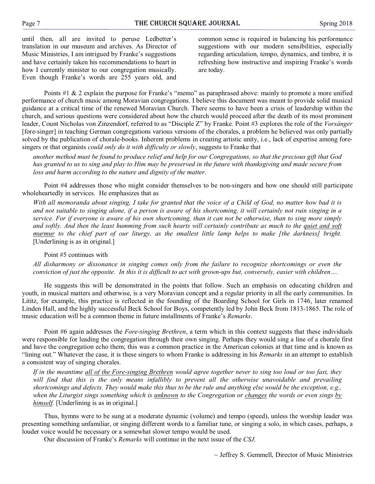until then, all are invited to peruse Ledbetter's translation in our museum and archives. As Director of Music Ministries, I am intrigued by Franke's suggestions and have certainly taken his recommendations to heart in how I currently minister to our congregation musically. Even though Franke's words are 255 years old, and

common sense is required in balancing his performance suggestions with our modern sensibilities, especially regarding articulation, tempo, dynamics, and timbre, it is refreshing how instructive and inspiring Franke's words are today.

Points #1 & 2 explain the purpose for Franke's "memo" as paraphrased above: mainly to promote a more unified performance of church music among Moravian congregations. I believe this document was meant to provide solid musical guidance at a critical time of the renewed Moravian Church. There seems to have been a crisis of leadership within the church, and serious questions were considered about how the church would proceed after the death of its most prominent leader, Count Nicholas von Zinzendorf, referred to as "Disciple Z" by Franke. Point #3 explores the role of the Vorsänger [fore-singer] in teaching German congregations various versions of the chorales, a problem he believed was only partially solved by the publication of chorale-books. Inherent problems in creating artistic unity, i.e., lack of expertise among foresingers or that organists *could only do it with difficulty or slowly*, suggests to Franke that

another method must be found to produce relief and help for our Congregations, so that the precious gift that God has granted to us to sing and play to Him may be preserved in the future with thanksgiving and made secure from loss and harm according to the nature and dignity of the matter.

Point #4 addresses those who might consider themselves to be non-singers and how one should still participate wholeheartedly in services. He emphasizes that as

With all memoranda about singing, I take for granted that the voice of a Child of God, no matter how bad it is and not suitable to singing alone, if a person is aware of his shortcoming, it will certainly not ruin singing in a service. For if everyone is aware of his own shortcoming, than it can not be otherwise, than to sing more simply and softly. And then the least humming from such hearts will certainly contribute as much to the quiet and soft murmur to the chief part of our liturgy, as the smallest little lamp helps to make [the darkness] bright. [Underlining is as in original.]

# Point #5 continues with

All disharmony or dissonance in singing comes only from the failure to recognize shortcomings or even the conviction of just the opposite. In this it is difficult to act with grown-ups but, conversely, easier with children....

He suggests this will be demonstrated in the points that follow. Such an emphasis on educating children and youth, in musical matters and otherwise, is a very Moravian concept and a regular priority in all the early communities. In Lititz, for example, this practice is reflected in the founding of the Boarding School for Girls in 1746, later renamed Linden Hall, and the highly successful Beck School for Boys, competently led by John Beck from 1813-1865. The role of music education will be a common theme in future installments of Franke's Remarks.

Point #6 again addresses the *Fore-singing Brethren*, a term which in this context suggests that these individuals were responsible for leading the congregation through their own singing. Perhaps they would sing a line of a chorale first and have the congregation echo them; this was a common practice in the American colonies at that time and is known as "lining out." Whatever the case, it is these singers to whom Franke is addressing in his Remarks in an attempt to establish a consistent way of singing chorales.

If in the meantime all of the Fore-singing Brethren would agree together never to sing too loud or too fast, they will find that this is the only means infallibly to prevent all the otherwise unavoidable and prevailing shortcomings and defects. They would make this thus to be the rule and anything else would be the exception, e.g., when the Liturgist sings something which is unknown to the Congregation or changes the words or even sings by himself. [Underlining is as in original.]

Thus, hymns were to be sung at a moderate dynamic (volume) and tempo (speed), unless the worship leader was presenting something unfamiliar, or singing different words to a familiar tune, or singing a solo, in which cases, perhaps, a louder voice would be necessary or a somewhat slower tempo would be used.

Our discussion of Franke's Remarks will continue in the next issue of the CSJ.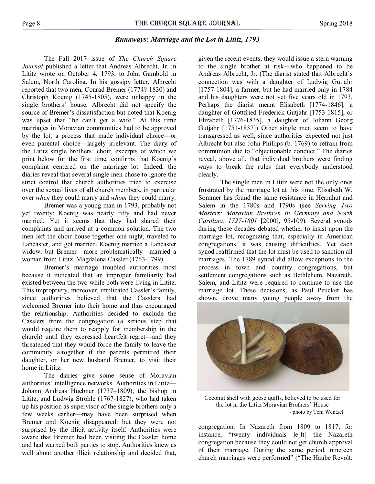# Runaways: Marriage and the Lot in Lititz, 1793

The Fall 2017 issue of The Church Square Journal published a letter that Andreas Albrecht, Jr. in Lititz wrote on October 4, 1793, to John Gambold in Salem, North Carolina. In his gossipy letter, Albrecht reported that two men, Conrad Bremer (1774?-1830) and Christoph Koenig (1745-1805), were unhappy in the single brothers' house. Albrecht did not specify the source of Bremer's dissatisfaction but noted that Koenig was upset that "he can't get a wife." At this time marriages in Moravian communities had to be approved by the lot, a process that made individual choice—or even parental choice—largely irrelevant. The diary of the Lititz single brothers' choir, excerpts of which we print below for the first time, confirms that Koenig's complaint centered on the marriage lot. Indeed, the diaries reveal that several single men chose to ignore the strict control that church authorities tried to exercise over the sexual lives of all church members, in particular over when they could marry and whom they could marry.

Bremer was a young man in 1793, probably not yet twenty; Koenig was nearly fifty and had never married. Yet it seems that they had shared their complaints and arrived at a common solution. The two men left the choir house together one night, traveled to Lancaster, and got married. Koenig married a Lancaster widow, but Bremer—more problematically—married a woman from Lititz, Magdalena Cassler (1763-1799).

Bremer's marriage troubled authorities most because it indicated that an improper familiarity had existed between the two while both were living in Lititz. This impropriety, moreover, implicated Cassler's family, since authorities believed that the Casslers had welcomed Bremer into their home and thus encouraged the relationship. Authorities decided to exclude the Casslers from the congregation (a serious step that would require them to reapply for membership in the church) until they expressed heartfelt regret—and they threatened that they would force the family to leave the community altogether if the parents permitted their daughter, or her new husband Bremer, to visit their home in Lititz.

The diaries give some sense of Moravian authorities' intelligence networks. Authorities in Lititz— Johann Andreas Huebner (1737–1809), the bishop in Lititz, and Ludwig Strohle (1767-1827), who had taken up his position as supervisor of the single brothers only a few weeks earlier—may have been surprised when Bremer and Koenig disappeared: but they were not surprised by the illicit activity itself. Authorities were aware that Bremer had been visiting the Cassler home and had warned both parties to stop. Authorities knew as well about another illicit relationship and decided that,

given the recent events, they would issue a stern warning to the single brother at risk—who happened to be Andreas Albrecht, Jr. (The diarist stated that Albrecht's connection was with a daughter of Ludwig Gutjahr [1757-1804], a farmer, but he had married only in 1784 and his daughters were not yet five years old in 1793. Perhaps the diarist meant Elisabeth [1774-1846], a daughter of Gottfried Frederick Gutjahr [1753-1815], or Elizabeth [1776-1835], a daughter of Johann Georg Gutjahr [1751-1837]) Other single men seem to have transgressed as well, since authorities expected not just Albrecht but also John Phillips (b. 1769) to refrain from communion due to "objectionable conduct." The diaries reveal, above all, that individual brothers were finding ways to break the rules that everybody understood clearly.

The single men in Lititz were not the only ones frustrated by the marriage lot at this time. Elisabeth W. Sommer has found the same resistance in Herrnhut and Salem in the 1780s and 1790s (see Serving Two Masters: Moravian Brethren in Germany and North Carolina, 1727-1801 [2000], 95-109). Several synods during these decades debated whether to insist upon the marriage lot, recognizing that, especially in American congregations, it was causing difficulties. Yet each synod reaffirmed that the lot must be used to sanction all marriages. The 1789 synod did allow exceptions to the process in town and country congregations, but settlement congregations such as Bethlehem, Nazareth, Salem, and Lititz were required to continue to use the marriage lot. These decisions, as Paul Peucker has shown, drove many young people away from the



Coconut shell with goose quills, believed to be used for the lot in the Lititz Moravian Brothers' House ~ photo by Tom Wentzel

congregation. In Nazareth from 1809 to 1817, for instance, "twenty individuals le[ft] the Nazareth congregation because they could not get church approval of their marriage. During the same period, nineteen church marriages were performed" ("The Haube Revolt: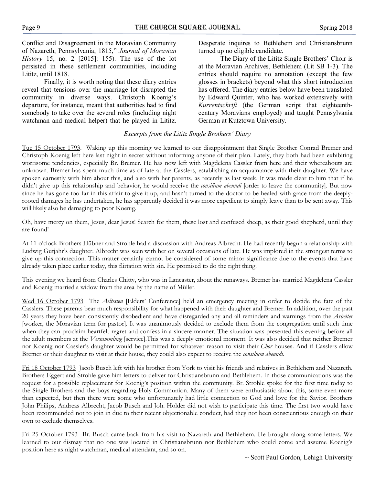Conflict and Disagreement in the Moravian Community of Nazareth, Pennsylvania, 1815," Journal of Moravian History 15, no. 2 [2015]: 155). The use of the lot persisted in these settlement communities, including Lititz, until 1818.

Finally, it is worth noting that these diary entries reveal that tensions over the marriage lot disrupted the community in diverse ways. Christoph Koenig's departure, for instance, meant that authorities had to find somebody to take over the several roles (including night watchman and medical helper) that he played in Lititz.

Desperate inquires to Bethlehem and Christiansbrunn turned up no eligible candidate.

The Diary of the Lititz Single Brothers' Choir is at the Moravian Archives, Bethlehem (Lit SB 1-3). The entries should require no annotation (except the few glosses in brackets) beyond what this short introduction has offered. The diary entries below have been translated by Edward Quinter, who has worked extensively with Kurrentschrift (the German script that eighteenthcentury Moravians employed) and taught Pennsylvania German at Kutztown University.

# Excerpts from the Lititz Single Brothers' Diary

Tue 15 October 1793. Waking up this morning we learned to our disappointment that Single Brother Conrad Bremer and Christoph Koenig left here last night in secret without informing anyone of their plan. Lately, they both had been exhibiting worrisome tendencies, especially Br. Bremer. He has now left with Magdelena Cassler from here and their whereabouts are unknown. Bremer has spent much time as of late at the Casslers, establishing an acquaintance with their daughter. We have spoken earnestly with him about this, and also with her parents, as recently as last week. It was made clear to him that if he didn't give up this relationship and behavior, he would receive the *consilium abeundi* [order to leave the community]. But now since he has gone too far in this affair to give it up, and hasn't turned to the doctor to be healed with grace from the deeplyrooted damages he has undertaken, he has apparently decided it was more expedient to simply leave than to be sent away. This will likely also be damaging to poor Koenig.

Oh, have mercy on them, Jesus, dear Jesus! Search for them, these lost and confused sheep, as their good shepherd, until they are found!

At 11 o'clock Brothers Hübner and Strohle had a discussion with Andreas Albrecht. He had recently begun a relationship with Ludwig Gutjahr's daughter. Albrecht was seen with her on several occasions of late. He was implored in the strongest terms to give up this connection. This matter certainly cannot be considered of some minor significance due to the events that have already taken place earlier today, this flirtation with sin. He promised to do the right thing.

This evening we heard from Charles Chitty, who was in Lancaster, about the runaways. Bremer has married Magdelena Cassler and Koenig married a widow from the area by the name of Müller.

Wed 16 October 1793 The Aeltesten [Elders' Conference] held an emergency meeting in order to decide the fate of the Casslers. These parents bear much responsibility for what happened with their daughter and Bremer. In addition, over the past 20 years they have been consistently disobedient and have disregarded any and all reminders and warnings from the Arbeiter [worker, the Moravian term for pastor]. It was unanimously decided to exclude them from the congregation until such time when they can proclaim heartfelt regret and confess in a sincere manner. The situation was presented this evening before all the adult members at the Versammlung [service].This was a deeply emotional moment. It was also decided that neither Bremer nor Koenig nor Cassler's daughter would be permitted for whatever reason to visit their Chor houses. And if Casslers allow Bremer or their daughter to visit at their house, they could also expect to receive the *consilium abeundi*.

Fri 18 October 1793 Jacob Busch left with his brother from York to visit his friends and relatives in Bethlehem and Nazareth. Brothers Eggert and Strohle gave him letters to deliver for Christiansbrunn and Bethlehem. In those communications was the request for a possible replacement for Koenig's position within the community. Br. Strohle spoke for the first time today to the Single Brothers and the boys regarding Holy Communion. Many of them were enthusiastic about this, some even more than expected, but then there were some who unfortunately had little connection to God and love for the Savior. Brothers John Philips, Andreas Albrecht, Jacob Busch and Joh. Holder did not wish to participate this time. The first two would have been recommended not to join in due to their recent objectionable conduct, had they not been conscientious enough on their own to exclude themselves.

Fri 25 October 1793 Br. Busch came back from his visit to Nazareth and Bethlehem. He brought along some letters. We learned to our dismay that no one was located in Christiansbrunn nor Bethlehem who could come and assume Koenig's position here as night watchman, medical attendant, and so on.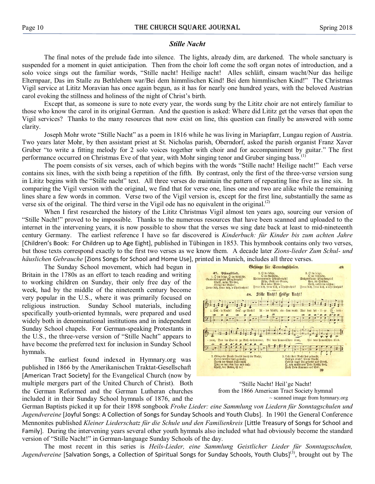# Stille Nacht

The final notes of the prelude fade into silence. The lights, already dim, are darkened. The whole sanctuary is suspended for a moment in quiet anticipation. Then from the choir loft come the soft organ notes of introduction, and a solo voice sings out the familiar words, "Stille nacht! Heilige nacht! Alles schläft, einsam wacht/Nur das heilige Elternpaar, Das im Stalle zu Bethlehem war/Bei dem himmlischen Kind! Bei dem himmlischen Kind!" The Christmas Vigil service at Lititz Moravian has once again begun, as it has for nearly one hundred years, with the beloved Austrian carol evoking the stillness and holiness of the night of Christ's birth.

Except that, as someone is sure to note every year, the words sung by the Lititz choir are not entirely familiar to those who know the carol in its original German. And the question is asked: Where did Lititz get the verses that open the Vigil services? Thanks to the many resources that now exist on line, this question can finally be answered with some clarity.

Joseph Mohr wrote "Stille Nacht" as a poem in 1816 while he was living in Mariapfarr, Lungau region of Austria. Two years later Mohr, by then assistant priest at St. Nicholas parish, Oberndorf, asked the parish organist Franz Xaver Gruber "to write a fitting melody for 2 solo voices together with choir and for accompaniment by guitar." The first performance occurred on Christmas Eve of that year, with Mohr singing tenor and Gruber singing bass.<sup>(1)</sup>

The poem consists of six verses, each of which begins with the words "Stille nacht! Heilige nacht!" Each verse contains six lines, with the sixth being a repetition of the fifth. By contrast, only the first of the three-verse version sung in Lititz begins with the "Stille nacht" text. All three verses do maintain the pattern of repeating line five as line six. In comparing the Vigil version with the original, we find that for verse one, lines one and two are alike while the remaining lines share a few words in common. Verse two of the Vigil version is, except for the first line, substantially the same as verse six of the original. The third verse in the Vigil ode has no equivalent in the original. $^{(2)}$ 

When I first researched the history of the Lititz Christmas Vigil almost ten years ago, sourcing our version of "Stille Nacht!" proved to be impossible. Thanks to the numerous resources that have been scanned and uploaded to the internet in the intervening years, it is now possible to show that the verses we sing date back at least to mid-nineteenth century Germany. The earliest reference I have so far discovered is Kinderbuch: für Kinder bis zum achten Jahre [Children's Book: For Children up to Age Eight], published in Tübingen in 1853. This hymnbook contains only two verses, but those texts correspond exactly to the first two verses as we know them. A decade later Zions-lieder Zum Schul- und häuslichen Gebrauche [Zions Songs for School and Home Use], printed in Munich, includes all three verses.

The Sunday School movement, which had begun in Britain in the 1780s as an effort to teach reading and writing to working children on Sunday, their only free day of the week, had by the middle of the nineteenth century become very popular in the U.S., where it was primarily focused on religious instruction. Sunday School materials, including specifically youth-oriented hymnals, were prepared and used widely both in denominational institutions and in independent Sunday School chapels. For German-speaking Protestants in the U.S., the three-verse version of "Stille Nacht" appears to have become the preferred text for inclusion in Sunday School hymnals.

The earliest found indexed in Hymnary.org was published in 1866 by the Amerikanischen Traktat-Gesellschaft [American Tract Society] for the Evangelical Church (now by multiple mergers part of the United Church of Christ). Both the German Reformed and the German Lutheran churches included it in their Sunday School hymnals of 1876, and the



"Stille Nacht! Heil'ge Nacht! from the 1866 American Tract Society hymnal ~ scanned image from hymnary.org

German Baptists picked it up for their 1898 songbook Frohe Lieder: eine Sammlung von Liedern für Sonntagschulen und Jugendvereine [Joyful Songs: A Collection of Songs for Sunday Schools and Youth Clubs]. In 1901 the General Conference Mennonites published Kleiner Liederschatz für die Schule und den Familienkreis [Little Treasury of Songs for School and Family]. During the intervening years several other youth hymnals also included what had obviously become the standard version of "Stille Nacht!" in German-language Sunday Schools of the day.

The most recent in this series is Heils-Lieder, eine Sammlung Geistlicher Lieder für Sonntagsschulen,  $\emph{Jugendvereine}$  [Salvation Songs, a Collection of Spiritual Songs for Sunday Schools, Youth Clubs] $^{(3)}$ , brought out by The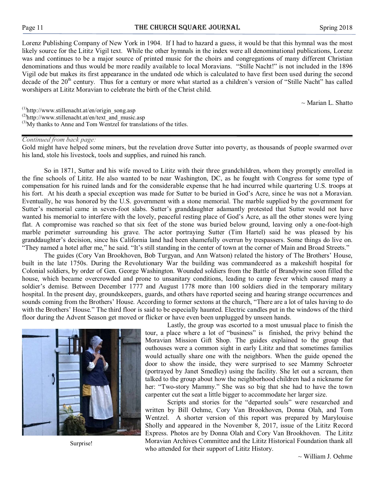Lorenz Publishing Company of New York in 1904. If I had to hazard a guess, it would be that this hymnal was the most likely source for the Lititz Vigil text. While the other hymnals in the index were all denominational publications, Lorenz was and continues to be a major source of printed music for the choirs and congregations of many different Christian denominations and thus would be more readily available to local Moravians. "Stille Nacht!" is not included in the 1896 Vigil ode but makes its first appearance in the undated ode which is calculated to have first been used during the second decade of the 20<sup>th</sup> century. Thus for a century or more what started as a children's version of "Stille Nacht" has called worshipers at Lititz Moravian to celebrate the birth of the Christ child.

 $\sim$  Marian L. Shatto

(1) http://www.stillenacht.at/en/origin\_song.asp

- <sup>(2)</sup>http://www.stillenacht.at/en/text\_and\_music.asp
- $^{(3)}$ My thanks to Anne and Tom Wentzel for translations of the titles.

#### Continued from back page:

Gold might have helped some miners, but the revelation drove Sutter into poverty, as thousands of people swarmed over his land, stole his livestock, tools and supplies, and ruined his ranch.

So in 1871, Sutter and his wife moved to Lititz with their three grandchildren, whom they promptly enrolled in the fine schools of Lititz. He also wanted to be near Washington, DC, as he fought with Congress for some type of compensation for his ruined lands and for the considerable expense that he had incurred while quartering U.S. troops at his fort. At his death a special exception was made for Sutter to be buried in God's Acre, since he was not a Moravian. Eventually, he was honored by the U.S. government with a stone memorial. The marble supplied by the government for Sutter's memorial came in seven-foot slabs. Sutter's granddaughter adamantly protested that Sutter would not have wanted his memorial to interfere with the lovely, peaceful resting place of God's Acre, as all the other stones were lying flat. A compromise was reached so that six feet of the stone was buried below ground, leaving only a one-foot-high marble perimeter surrounding his grave. The actor portraying Sutter (Tim Hartel) said he was pleased by his granddaughter's decision, since his California land had been shamefully overrun by trespassers. Some things do live on. "They named a hotel after me," he said. "It's still standing in the center of town at the corner of Main and Broad Streets."

The guides (Cory Van Brookhoven, Bob Turgyan, and Ann Watson) related the history of The Brothers' House, built in the late 1750s. During the Revolutionary War the building was commandeered as a makeshift hospital for Colonial soldiers, by order of Gen. George Washington. Wounded soldiers from the Battle of Brandywine soon filled the house, which became overcrowded and prone to unsanitary conditions, leading to camp fever which caused many a soldier's demise. Between December 1777 and August 1778 more than 100 soldiers died in the temporary military hospital. In the present day, groundskeepers, guards, and others have reported seeing and hearing strange occurrences and sounds coming from the Brothers' House. According to former sextons at the church, "There are a lot of tales having to do with the Brothers' House." The third floor is said to be especially haunted. Electric candles put in the windows of the third floor during the Advent Season get moved or flicker or have even been unplugged by unseen hands.



Surprise!

Lastly, the group was escorted to a most unusual place to finish the tour, a place where a lot of "business" is finished, the privy behind the Moravian Mission Gift Shop. The guides explained to the group that outhouses were a common sight in early Lititz and that sometimes families would actually share one with the neighbors. When the guide opened the door to show the inside, they were surprised to see Mammy Schroeter (portrayed by Janet Smedley) using the facility. She let out a scream, then talked to the group about how the neighborhood children had a nickname for her: "Two-story Mammy." She was so big that she had to have the town carpenter cut the seat a little bigger to accommodate her larger size.

Scripts and stories for the "departed souls" were researched and written by Bill Oehme, Cory Van Brookhoven, Donna Olah, and Tom Wentzel. A shorter version of this report was prepared by Marylouise Sholly and appeared in the November 8, 2017, issue of the Lititz Record Express. Photos are by Donna Olah and Cory Van Brookhoven. The Lititz Moravian Archives Committee and the Lititz Historical Foundation thank all who attended for their support of Lititz History.